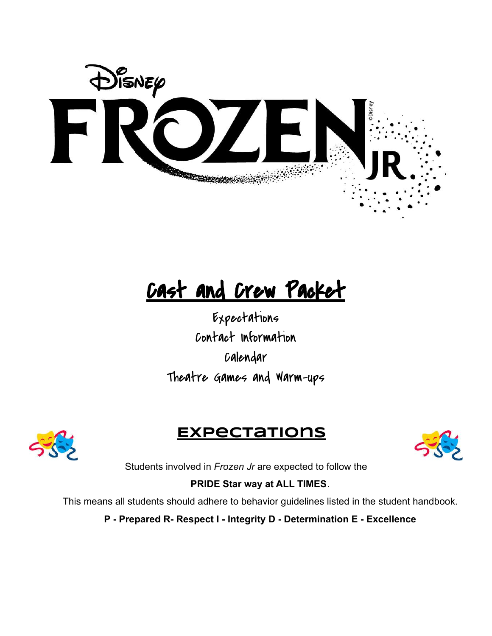

# Cast and Crew Packet

Expectations Contact Information Calendar Theatre Games and Warm-ups



### **Expectations**



Students involved in *Frozen Jr* are expected to follow the

#### **PRIDE Star way at ALL TIMES**.

This means all students should adhere to behavior guidelines listed in the student handbook.

**P - Prepared R- Respect I - Integrity D - Determination E - Excellence**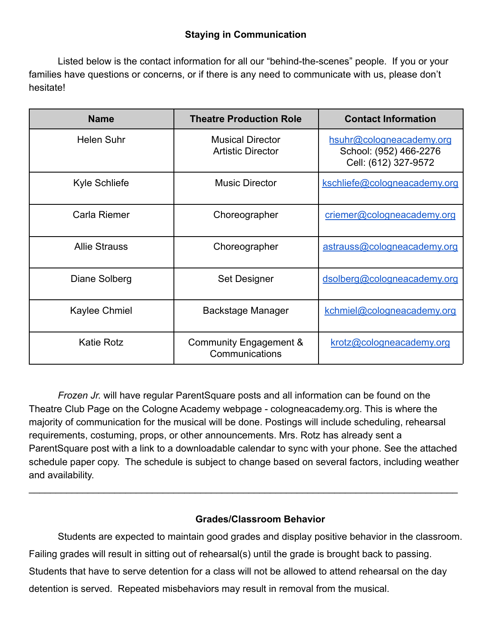#### **Staying in Communication**

Listed below is the contact information for all our "behind-the-scenes" people. If you or your families have questions or concerns, or if there is any need to communicate with us, please don't hesitate!

| <b>Name</b>          | <b>Theatre Production Role</b>                      | <b>Contact Information</b>                                                 |
|----------------------|-----------------------------------------------------|----------------------------------------------------------------------------|
| <b>Helen Suhr</b>    | <b>Musical Director</b><br><b>Artistic Director</b> | hsuhr@cologneacademy.org<br>School: (952) 466-2276<br>Cell: (612) 327-9572 |
| <b>Kyle Schliefe</b> | <b>Music Director</b>                               | kschliefe@cologneacademy.org                                               |
| Carla Riemer         | Choreographer                                       | criemer@cologneacademy.org                                                 |
| <b>Allie Strauss</b> | Choreographer                                       | astrauss@cologneacademy.org                                                |
| Diane Solberg        | Set Designer                                        | dsolberg@cologneacademy.org                                                |
| Kaylee Chmiel        | <b>Backstage Manager</b>                            | kchmiel@cologneacademy.org                                                 |
| <b>Katie Rotz</b>    | Community Engagement &<br>Communications            | krotz@cologneacademy.org                                                   |

*Frozen Jr.* will have regular ParentSquare posts and all information can be found on the Theatre Club Page on the Cologne Academy webpage - cologneacademy.org. This is where the majority of communication for the musical will be done. Postings will include scheduling, rehearsal requirements, costuming, props, or other announcements. Mrs. Rotz has already sent a ParentSquare post with a link to a downloadable calendar to sync with your phone. See the attached schedule paper copy. The schedule is subject to change based on several factors, including weather and availability.

 $\_$ 

#### **Grades/Classroom Behavior**

Students are expected to maintain good grades and display positive behavior in the classroom. Failing grades will result in sitting out of rehearsal(s) until the grade is brought back to passing. Students that have to serve detention for a class will not be allowed to attend rehearsal on the day detention is served. Repeated misbehaviors may result in removal from the musical.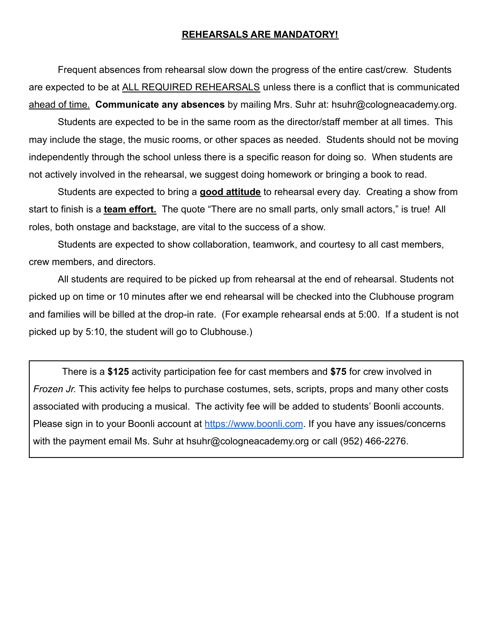#### **REHEARSALS ARE MANDATORY!**

Frequent absences from rehearsal slow down the progress of the entire cast/crew. Students are expected to be at ALL REQUIRED REHEARSALS unless there is a conflict that is communicated ahead of time. **Communicate any absences** by mailing Mrs. Suhr at: hsuhr@cologneacademy.org.

Students are expected to be in the same room as the director/staff member at all times. This may include the stage, the music rooms, or other spaces as needed. Students should not be moving independently through the school unless there is a specific reason for doing so. When students are not actively involved in the rehearsal, we suggest doing homework or bringing a book to read.

Students are expected to bring a **good attitude** to rehearsal every day. Creating a show from start to finish is a **team effort.** The quote "There are no small parts, only small actors," is true! All roles, both onstage and backstage, are vital to the success of a show.

Students are expected to show collaboration, teamwork, and courtesy to all cast members, crew members, and directors.

All students are required to be picked up from rehearsal at the end of rehearsal. Students not picked up on time or 10 minutes after we end rehearsal will be checked into the Clubhouse program and families will be billed at the drop-in rate. (For example rehearsal ends at 5:00. If a student is not picked up by 5:10, the student will go to Clubhouse.)

There is a **\$125** activity participation fee for cast members and **\$75** for crew involved in *Frozen Jr.* This activity fee helps to purchase costumes, sets, scripts, props and many other costs associated with producing a musical. The activity fee will be added to students' Boonli accounts. Please sign in to your Boonli account at [https://www.boonli.com](https://www.boonli.com/). If you have any issues/concerns with the payment email Ms. Suhr at hsuhr@cologneacademy.org or call (952) 466-2276.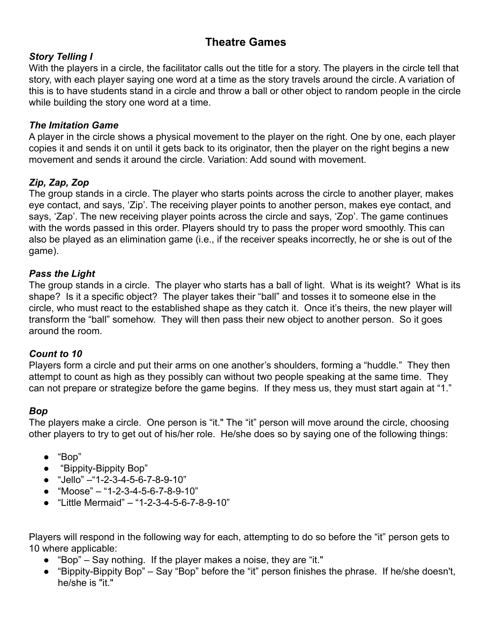#### **Theatre Games**

#### *Story Telling I*

With the players in a circle, the facilitator calls out the title for a story. The players in the circle tell that story, with each player saying one word at a time as the story travels around the circle. A variation of this is to have students stand in a circle and throw a ball or other object to random people in the circle while building the story one word at a time.

#### *The Imitation Game*

A player in the circle shows a physical movement to the player on the right. One by one, each player copies it and sends it on until it gets back to its originator, then the player on the right begins a new movement and sends it around the circle. Variation: Add sound with movement.

#### *Zip, Zap, Zop*

The group stands in a circle. The player who starts points across the circle to another player, makes eye contact, and says, 'Zip'. The receiving player points to another person, makes eye contact, and says, 'Zap'. The new receiving player points across the circle and says, 'Zop'. The game continues with the words passed in this order. Players should try to pass the proper word smoothly. This can also be played as an elimination game (i.e., if the receiver speaks incorrectly, he or she is out of the game).

#### *Pass the Light*

The group stands in a circle. The player who starts has a ball of light. What is its weight? What is its shape? Is it a specific object? The player takes their "ball" and tosses it to someone else in the circle, who must react to the established shape as they catch it. Once it's theirs, the new player will transform the "ball" somehow. They will then pass their new object to another person. So it goes around the room.

#### *Count to 10*

Players form a circle and put their arms on one another's shoulders, forming a "huddle." They then attempt to count as high as they possibly can without two people speaking at the same time. They can not prepare or strategize before the game begins. If they mess us, they must start again at "1."

#### *Bop*

The players make a circle. One person is "it." The "it" person will move around the circle, choosing other players to try to get out of his/her role. He/she does so by saying one of the following things:

- "Bop"
- "Bippity-Bippity Bop"
- "Jello" –"1-2-3-4-5-6-7-8-9-10"
- $\bullet$  "Moose" "1-2-3-4-5-6-7-8-9-10"
- "Little Mermaid" "1-2-3-4-5-6-7-8-9-10"

Players will respond in the following way for each, attempting to do so before the "it" person gets to 10 where applicable:

- "Bop" Say nothing. If the player makes a noise, they are "it."
- "Bippity-Bippity Bop" Say "Bop" before the "it" person finishes the phrase. If he/she doesn't, he/she is "it."